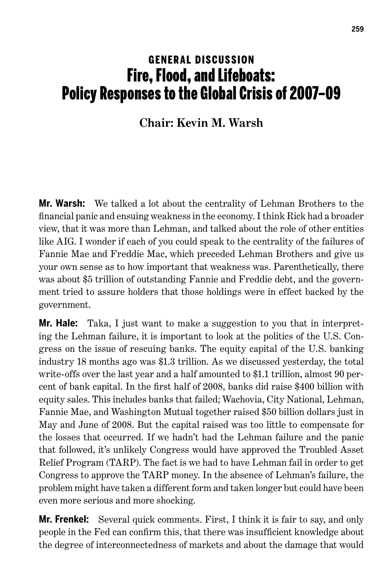## **GENERAL DISCUSSION** Fire, Flood, and Lifeboats: Policy Responses to the Global Crisis of 2007–09

## **Chair: Kevin M. Warsh**

**Mr. Warsh:** We talked a lot about the centrality of Lehman Brothers to the financial panic and ensuing weakness in the economy. I think Rick had a broader view, that it was more than Lehman, and talked about the role of other entities like AIG. I wonder if each of you could speak to the centrality of the failures of Fannie Mae and Freddie Mac, which preceded Lehman Brothers and give us your own sense as to how important that weakness was. Parenthetically, there was about \$5 trillion of outstanding Fannie and Freddie debt, and the government tried to assure holders that those holdings were in effect backed by the government.

**Mr. Hale:** Taka, I just want to make a suggestion to you that in interpreting the Lehman failure, it is important to look at the politics of the U.S. Congress on the issue of rescuing banks. The equity capital of the U.S. banking industry 18 months ago was \$1.3 trillion. As we discussed yesterday, the total write-offs over the last year and a half amounted to \$1.1 trillion, almost 90 percent of bank capital. In the first half of 2008, banks did raise \$400 billion with equity sales. This includes banks that failed; Wachovia, City National, Lehman, Fannie Mae, and Washington Mutual together raised \$50 billion dollars just in May and June of 2008. But the capital raised was too little to compensate for the losses that occurred. If we hadn't had the Lehman failure and the panic that followed, it's unlikely Congress would have approved the Troubled Asset Relief Program (TARP). The fact is we had to have Lehman fail in order to get Congress to approve the TARP money. In the absence of Lehman's failure, the problem might have taken a different form and taken longer but could have been even more serious and more shocking.

**Mr. Frenkel:** Several quick comments. First, I think it is fair to say, and only people in the Fed can confirm this, that there was insufficient knowledge about the degree of interconnectedness of markets and about the damage that would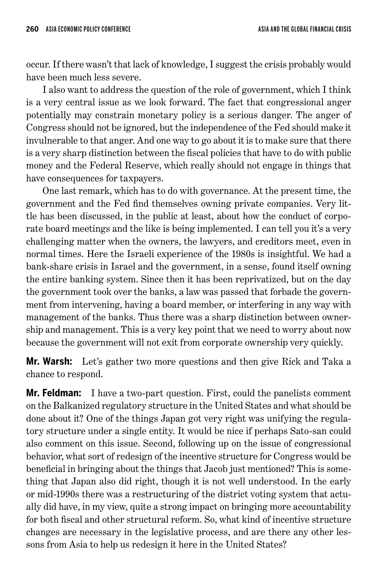occur. If there wasn't that lack of knowledge, I suggest the crisis probably would have been much less severe.

I also want to address the question of the role of government, which I think is a very central issue as we look forward. The fact that congressional anger potentially may constrain monetary policy is a serious danger. The anger of Congress should not be ignored, but the independence of the Fed should make it invulnerable to that anger. And one way to go about it is to make sure that there is a very sharp distinction between the fiscal policies that have to do with public money and the Federal Reserve, which really should not engage in things that have consequences for taxpayers.

One last remark, which has to do with governance. At the present time, the government and the Fed find themselves owning private companies. Very little has been discussed, in the public at least, about how the conduct of corporate board meetings and the like is being implemented. I can tell you it's a very challenging matter when the owners, the lawyers, and creditors meet, even in normal times. Here the Israeli experience of the 1980s is insightful. We had a bank-share crisis in Israel and the government, in a sense, found itself owning the entire banking system. Since then it has been reprivatized, but on the day the government took over the banks, a law was passed that forbade the government from intervening, having a board member, or interfering in any way with management of the banks. Thus there was a sharp distinction between ownership and management. This is a very key point that we need to worry about now because the government will not exit from corporate ownership very quickly.

**Mr. Warsh:** Let's gather two more questions and then give Rick and Taka a chance to respond.

**Mr. Feldman:** I have a two-part question. First, could the panelists comment on the Balkanized regulatory structure in the United States and what should be done about it? One of the things Japan got very right was unifying the regulatory structure under a single entity. It would be nice if perhaps Sato-san could also comment on this issue. Second, following up on the issue of congressional behavior, what sort of redesign of the incentive structure for Congress would be beneficial in bringing about the things that Jacob just mentioned? This is something that Japan also did right, though it is not well understood. In the early or mid-1990s there was a restructuring of the district voting system that actually did have, in my view, quite a strong impact on bringing more accountability for both fiscal and other structural reform. So, what kind of incentive structure changes are necessary in the legislative process, and are there any other lessons from Asia to help us redesign it here in the United States?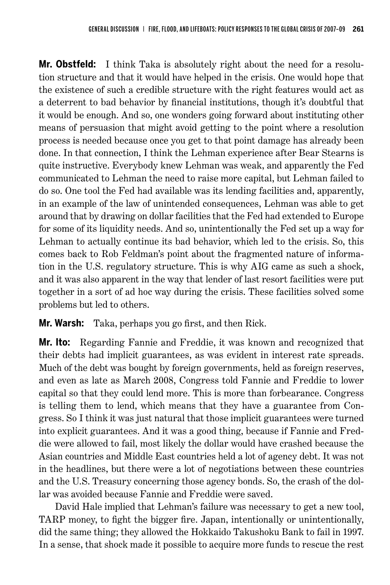**Mr. Obstfeld:** I think Taka is absolutely right about the need for a resolution structure and that it would have helped in the crisis. One would hope that the existence of such a credible structure with the right features would act as a deterrent to bad behavior by financial institutions, though it's doubtful that it would be enough. And so, one wonders going forward about instituting other means of persuasion that might avoid getting to the point where a resolution process is needed because once you get to that point damage has already been done. In that connection, I think the Lehman experience after Bear Stearns is quite instructive. Everybody knew Lehman was weak, and apparently the Fed communicated to Lehman the need to raise more capital, but Lehman failed to do so. One tool the Fed had available was its lending facilities and, apparently, in an example of the law of unintended consequences, Lehman was able to get around that by drawing on dollar facilities that the Fed had extended to Europe for some of its liquidity needs. And so, unintentionally the Fed set up a way for Lehman to actually continue its bad behavior, which led to the crisis. So, this comes back to Rob Feldman's point about the fragmented nature of information in the U.S. regulatory structure. This is why AIG came as such a shock, and it was also apparent in the way that lender of last resort facilities were put together in a sort of ad hoc way during the crisis. These facilities solved some problems but led to others.

**Mr. Warsh:** Taka, perhaps you go first, and then Rick.

**Mr. Ito:** Regarding Fannie and Freddie, it was known and recognized that their debts had implicit guarantees, as was evident in interest rate spreads. Much of the debt was bought by foreign governments, held as foreign reserves, and even as late as March 2008, Congress told Fannie and Freddie to lower capital so that they could lend more. This is more than forbearance. Congress is telling them to lend, which means that they have a guarantee from Congress. So I think it was just natural that those implicit guarantees were turned into explicit guarantees. And it was a good thing, because if Fannie and Freddie were allowed to fail, most likely the dollar would have crashed because the Asian countries and Middle East countries held a lot of agency debt. It was not in the headlines, but there were a lot of negotiations between these countries and the U.S. Treasury concerning those agency bonds. So, the crash of the dollar was avoided because Fannie and Freddie were saved.

David Hale implied that Lehman's failure was necessary to get a new tool, TARP money, to fight the bigger fire. Japan, intentionally or unintentionally, did the same thing; they allowed the Hokkaido Takushoku Bank to fail in 1997. In a sense, that shock made it possible to acquire more funds to rescue the rest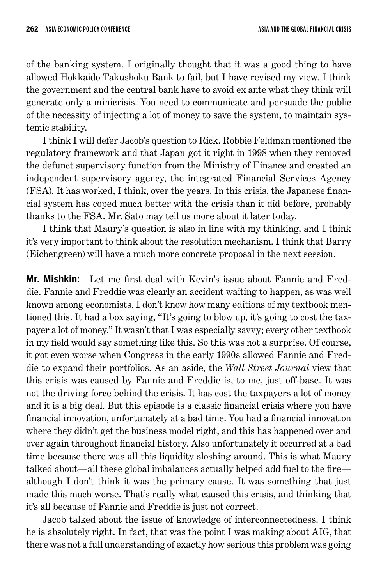of the banking system. I originally thought that it was a good thing to have allowed Hokkaido Takushoku Bank to fail, but I have revised my view. I think the government and the central bank have to avoid ex ante what they think will generate only a minicrisis. You need to communicate and persuade the public of the necessity of injecting a lot of money to save the system, to maintain systemic stability.

I think I will defer Jacob's question to Rick. Robbie Feldman mentioned the regulatory framework and that Japan got it right in 1998 when they removed the defunct supervisory function from the Ministry of Finance and created an independent supervisory agency, the integrated Financial Services Agency (FSA). It has worked, I think, over the years. In this crisis, the Japanese financial system has coped much better with the crisis than it did before, probably thanks to the FSA. Mr. Sato may tell us more about it later today.

I think that Maury's question is also in line with my thinking, and I think it's very important to think about the resolution mechanism. I think that Barry (Eichengreen) will have a much more concrete proposal in the next session.

**Mr. Mishkin:** Let me first deal with Kevin's issue about Fannie and Freddie. Fannie and Freddie was clearly an accident waiting to happen, as was well known among economists. I don't know how many editions of my textbook mentioned this. It had a box saying, "It's going to blow up, it's going to cost the taxpayer a lot of money." It wasn't that I was especially savvy; every other textbook in my field would say something like this. So this was not a surprise. Of course, it got even worse when Congress in the early 1990s allowed Fannie and Freddie to expand their portfolios. As an aside, the *Wall Street Journal* view that this crisis was caused by Fannie and Freddie is, to me, just off-base. It was not the driving force behind the crisis. It has cost the taxpayers a lot of money and it is a big deal. But this episode is a classic financial crisis where you have financial innovation, unfortunately at a bad time. You had a financial innovation where they didn't get the business model right, and this has happened over and over again throughout financial history. Also unfortunately it occurred at a bad time because there was all this liquidity sloshing around. This is what Maury talked about—all these global imbalances actually helped add fuel to the fire although I don't think it was the primary cause. It was something that just made this much worse. That's really what caused this crisis, and thinking that it's all because of Fannie and Freddie is just not correct.

Jacob talked about the issue of knowledge of interconnectedness. I think he is absolutely right. In fact, that was the point I was making about AIG, that there was not a full understanding of exactly how serious this problem was going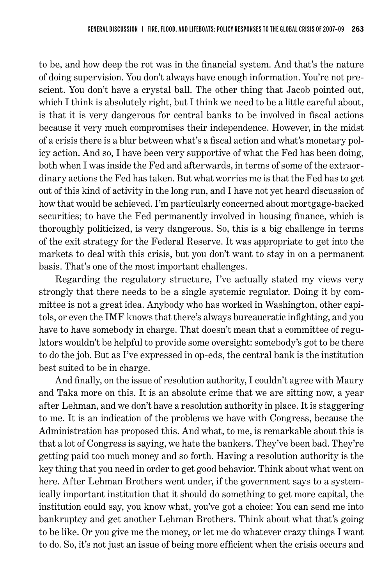to be, and how deep the rot was in the financial system. And that's the nature of doing supervision. You don't always have enough information. You're not prescient. You don't have a crystal ball. The other thing that Jacob pointed out, which I think is absolutely right, but I think we need to be a little careful about, is that it is very dangerous for central banks to be involved in fiscal actions because it very much compromises their independence. However, in the midst of a crisis there is a blur between what's a fiscal action and what's monetary policy action. And so, I have been very supportive of what the Fed has been doing, both when I was inside the Fed and afterwards, in terms of some of the extraordinary actions the Fed has taken. But what worries me is that the Fed has to get out of this kind of activity in the long run, and I have not yet heard discussion of how that would be achieved. I'm particularly concerned about mortgage-backed securities; to have the Fed permanently involved in housing finance, which is thoroughly politicized, is very dangerous. So, this is a big challenge in terms of the exit strategy for the Federal Reserve. It was appropriate to get into the markets to deal with this crisis, but you don't want to stay in on a permanent basis. That's one of the most important challenges.

Regarding the regulatory structure, I've actually stated my views very strongly that there needs to be a single systemic regulator. Doing it by committee is not a great idea. Anybody who has worked in Washington, other capitols, or even the IMF knows that there's always bureaucratic infighting, and you have to have somebody in charge. That doesn't mean that a committee of regulators wouldn't be helpful to provide some oversight: somebody's got to be there to do the job. But as I've expressed in op-eds, the central bank is the institution best suited to be in charge.

And finally, on the issue of resolution authority, I couldn't agree with Maury and Taka more on this. It is an absolute crime that we are sitting now, a year after Lehman, and we don't have a resolution authority in place. It is staggering to me. It is an indication of the problems we have with Congress, because the Administration has proposed this. And what, to me, is remarkable about this is that a lot of Congress is saying, we hate the bankers. They've been bad. They're getting paid too much money and so forth. Having a resolution authority is the key thing that you need in order to get good behavior. Think about what went on here. After Lehman Brothers went under, if the government says to a systemically important institution that it should do something to get more capital, the institution could say, you know what, you've got a choice: You can send me into bankruptcy and get another Lehman Brothers. Think about what that's going to be like. Or you give me the money, or let me do whatever crazy things I want to do. So, it's not just an issue of being more efficient when the crisis occurs and